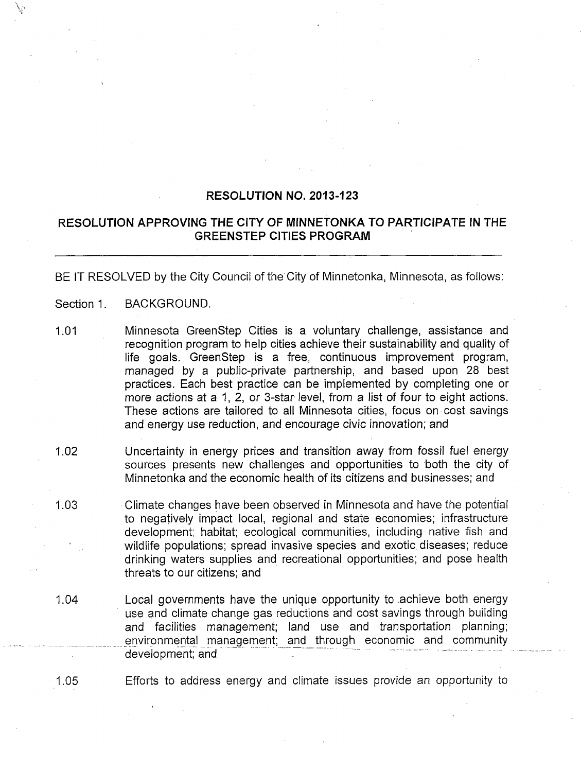## **RESOLUTION NO. 2013-123**

## **RESOLUTION APPROVING THE CITY OF MINNETONKA TO PARTICIPATE IN THE GREENSTEP CITIES PROGRAM**

BE IT RESOLVED by the City Council of the City of Minnetonka, Minnesota, as follows;

- Section 1. BACKGROUND.
- 1.01 Minnesota GreenStep Cities is a voluntary challenge, assistance and recognition program to help cities achieve their sustainability and quality of life goals. GreenStep is a free, continuous improvement program, managed by a public-private partnership, and based upon 28 best practices. Each best practice can be implemented by completing one or more actions at a 1, 2, or 3-star level, from a list of four to eight actions. These actions are tailored to all Minnesota cities, focus on cost savings and energy use reduction, and encourage civic innovation; and
- 1.02 Uncertainty in energy prices and transition away from fossil fuel energy sources presents new challenges and opportunities to both the city of Minnetonka and the economic health of its citizens and businesses; and
- 1.03 Climate changes have been observed in Minnesota and have the potential to negatively impact local, regional and state economies; infrastructure development; habitat; ecological communities, including native fish and wildlife populations; spread invasive species and exotic diseases; reduce drinking waters supplies and recreational opportunities; and pose health threats to our citizens; and
- 1.04 Local governments have the unique opportunity to .achieve both energy use and climate change gas reductions and cost savings through building and facilities management; land use and transportation planning; environmental management; and through economic and community development; and

1.05 Efforts to address energy and climate issues provide an opportunity to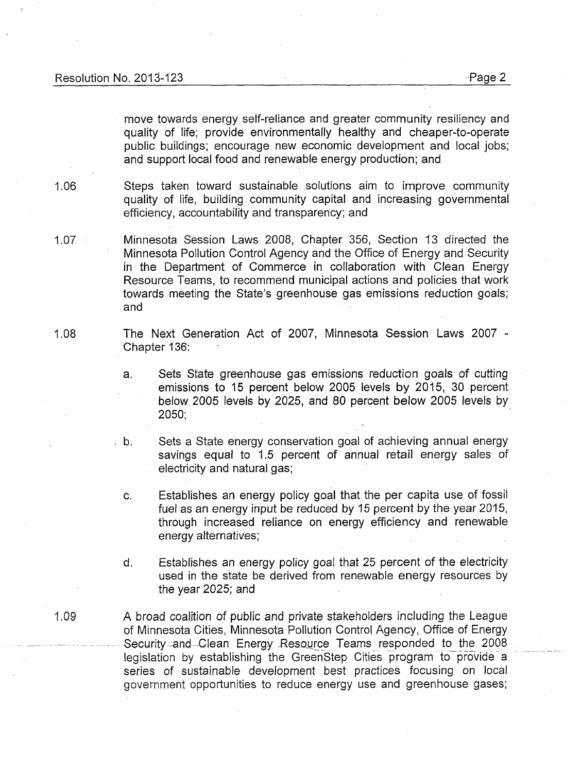move towards energy self-reliance and greater community resiliency and quality of life; provide environmentally healthy and cheaper-to-operate public buildings: encourage new economic development and local jobs; and support local food and renewable energy production; and

1.06 Steps taken toward sustainable solutions aim to improve community quality of life, building community capital and increasing governmental efficiency, accountability and transparency: and

1.07 Minnesota Session Laws 2008, Chapter 356, Section 13 directed the Minnesota Pollution Control Agency and the Office of Energy and Security in the Department of Commerce in collaboration with Clean Energy Resource Teams, to recommend municipal actions and policies that work towards meeting the State's greenhouse gas emissions reduction goals; and

1.08 The Next Generation Act of 2007, Minnesota Session Laws 2007 - Chapter 136:

> a. Sets State greenhouse gas emissions reduction goals of cutting emissions to 15 percent below 2005 levels by 2015, 30 percent below 2005 levels by 2025, and 80 percent below 2005 levels by 2050;

, b. Sets a State energy conservation goal of achieving annual energy savings equal to 1.5 percent of annual retail energy sales of electricity and natural gas;

- c. Establishes an energy policy goal that the per capita use of fossil fuel as an energy input be reduced by 15 percent by the year 2015, through increased reliance on energy efficiency and renewable energy alternatives;
- d. Establishes an energy policy goal that 25 percent of the electricity used in the state be derived from renewable energy resources by the year 2025; and
- 1.09 A broad coalition of public and private stakeholders including the League of Minnesota Cities, Minnesota Pollution Control Agency, Office of Energy Security-and Clean Energy Resource Teams responded to the 2008 legislation by establishing the GreenStep Cities program to provide a series of sustainable development best practices focusing on local government opportunities to reduce energy use and greenhouse gases;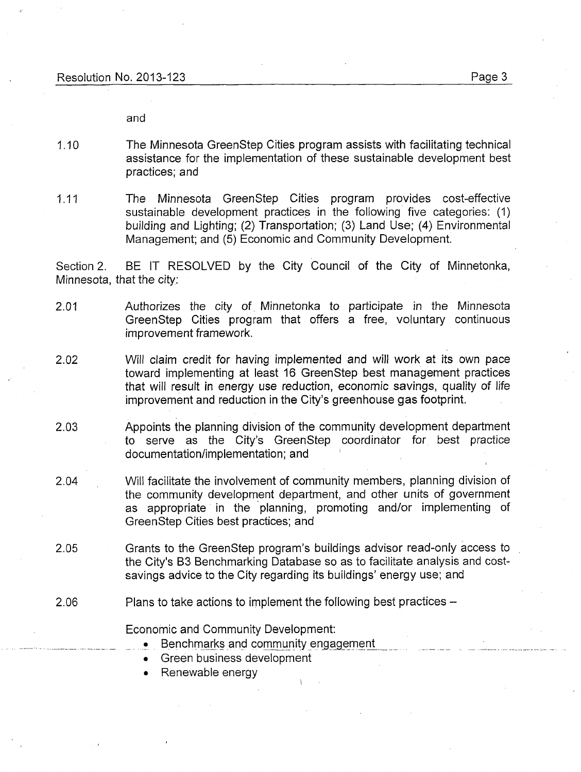and

- 1.10 The Minnesota GreenStep Cities program assists with facilitating technical assistance for the implementation of these sustainable development best practices; and
- 1.11 The Minnesota GreenStep Cities program provides cost-effective sustainable development practices in the following five categories: (1) building and Lighting; (2) Transportation; (3) Land Use; (4) Environmental Management: and (5) Economic and Community Development.

Section 2. BE IT RESOLVED by the City Council of the City of Minnetonka, Minnesota, that the city;

- 2.01 Authorizes the city of Minnetonka to participate in the Minnesota GreenStep Cities program that offers a free, voluntary continuous improvement framework.
- 2.02 Will claim credit for having implemented and will work at its own pace toward implementing at least 16 GreenStep best management practices that will result in energy use reduction, economic savings, quality of life improvement and reduction in the City's greenhouse gas footprint.
- 2.03 Appoints the planning division of the community development department to serve as the City's GreenStep coordinator for best practice documentation/implementation; and
- 2.04 Will facilitate the involvement of community members, planning division of the community development department, and other units of government as appropriate in the planning, promoting and/or implementing of GreenStep Cities best practices; and
- 2.05 Grants to the GreenStep program's buildings advisor read-only access to the City's B3 Benchmarking Database so as to facilitate analysis and costsavings advice to the City regarding its buildings' energy use; and
- 2.06 Plans to take actions to implement the following best practices –

Economic and Community Development;

- Benchmarks and community engagement
- Green business development
- Renewable energy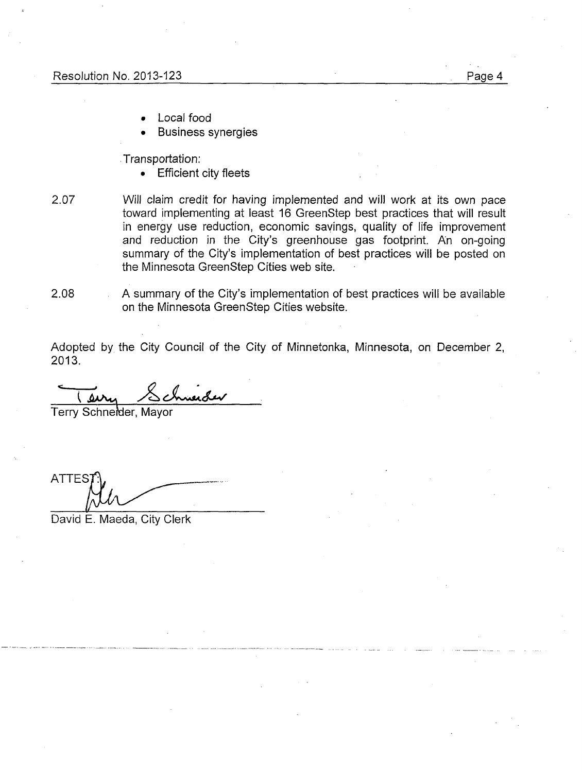- Local food
- Business synergies

Transportation;

• Efficient city fleets

2.07 Will claim credit for having implemented and will work at its own pace toward implementing at least 16 GreenStep best practices that will result in energy use reduction, economic savings, quality of life improvement and reduction in the City's greenhouse gas footprint. An on-going summary of the City's implementation of best practices will be posted on the Minnesota GreenStep Cities web site.

2.08 A summary of the City's implementation of best practices will be available on the Minnesota GreenStep Cities website.

Adopted by the City Council of the City of Minnetonka, Minnesota, on December 2, 2013.

merder i

Terry Schnefder, Mayor

**ATTES** 

David E. Maeda, City Clerk